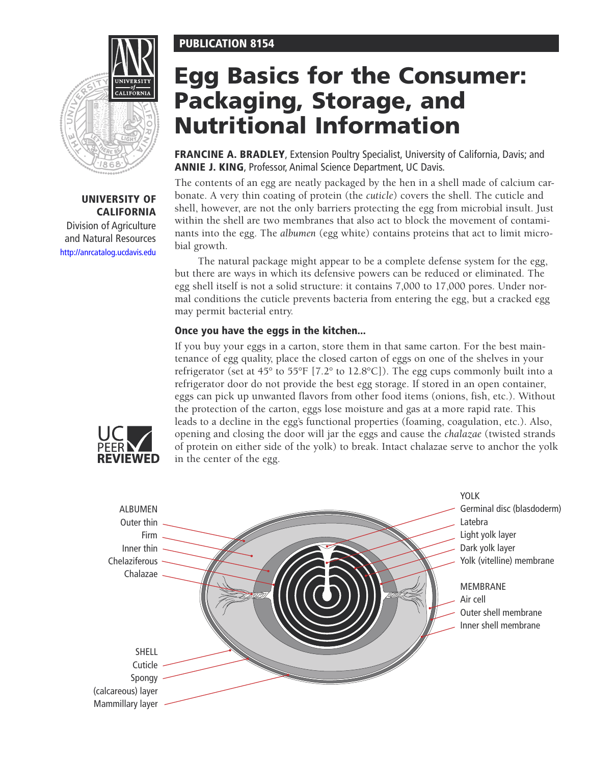# PUBLICATION 8154



# UNIVERSITY OF CALIFORNIA

Division of Agriculture and Natural Resources <http://anrcatalog.ucdavis.edu>

# Egg Basics for the Consumer: Packaging, Storage, and Nutritional Information

FRANCINE A. BRADLEY, Extension Poultry Specialist, University of California, Davis; and ANNIE J. KING, Professor, Animal Science Department, UC Davis.

The contents of an egg are neatly packaged by the hen in a shell made of calcium carbonate. A very thin coating of protein (the *cuticle*) covers the shell. The cuticle and shell, however, are not the only barriers protecting the egg from microbial insult. Just within the shell are two membranes that also act to block the movement of contaminants into the egg. The *albumen* (egg white) contains proteins that act to limit microbial growth.

The natural package might appear to be a complete defense system for the egg, but there are ways in which its defensive powers can be reduced or eliminated. The egg shell itself is not a solid structure: it contains 7,000 to 17,000 pores. Under normal conditions the cuticle prevents bacteria from entering the egg, but a cracked egg may permit bacterial entry.

# Once you have the eggs in the kitchen...

If you buy your eggs in a carton, store them in that same carton. For the best maintenance of egg quality, place the closed carton of eggs on one of the shelves in your refrigerator (set at 45° to 55°F [7.2° to 12.8°C]). The egg cups commonly built into a refrigerator door do not provide the best egg storage. If stored in an open container, eggs can pick up unwanted flavors from other food items (onions, fish, etc.). Without the protection of the carton, eggs lose moisture and gas at a more rapid rate. This leads to a decline in the egg's functional properties (foaming, coagulation, etc.). Also, opening and closing the door will jar the eggs and cause the *chalazae* (twisted strands of protein on either side of the yolk) to break. Intact chalazae serve to anchor the yolk in the center of the egg.



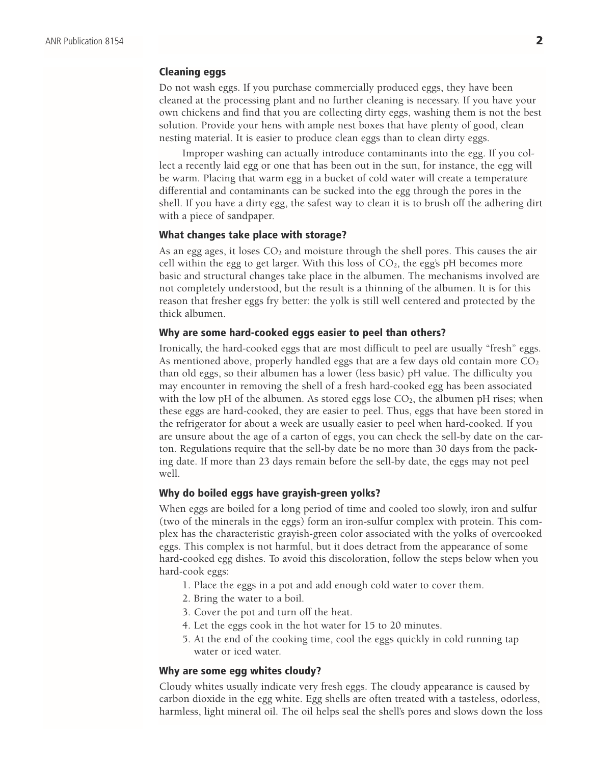## Cleaning eggs

Do not wash eggs. If you purchase commercially produced eggs, they have been cleaned at the processing plant and no further cleaning is necessary. If you have your own chickens and find that you are collecting dirty eggs, washing them is not the best solution. Provide your hens with ample nest boxes that have plenty of good, clean nesting material. It is easier to produce clean eggs than to clean dirty eggs.

Improper washing can actually introduce contaminants into the egg. If you collect a recently laid egg or one that has been out in the sun, for instance, the egg will be warm. Placing that warm egg in a bucket of cold water will create a temperature differential and contaminants can be sucked into the egg through the pores in the shell. If you have a dirty egg, the safest way to clean it is to brush off the adhering dirt with a piece of sandpaper.

#### What changes take place with storage?

As an egg ages, it loses  $CO<sub>2</sub>$  and moisture through the shell pores. This causes the air cell within the egg to get larger. With this loss of  $CO<sub>2</sub>$ , the egg's pH becomes more basic and structural changes take place in the albumen. The mechanisms involved are not completely understood, but the result is a thinning of the albumen. It is for this reason that fresher eggs fry better: the yolk is still well centered and protected by the thick albumen.

#### Why are some hard-cooked eggs easier to peel than others?

Ironically, the hard-cooked eggs that are most difficult to peel are usually "fresh" eggs. As mentioned above, properly handled eggs that are a few days old contain more  $CO<sub>2</sub>$ than old eggs, so their albumen has a lower (less basic) pH value. The difficulty you may encounter in removing the shell of a fresh hard-cooked egg has been associated with the low pH of the albumen. As stored eggs lose  $CO<sub>2</sub>$ , the albumen pH rises; when these eggs are hard-cooked, they are easier to peel. Thus, eggs that have been stored in the refrigerator for about a week are usually easier to peel when hard-cooked. If you are unsure about the age of a carton of eggs, you can check the sell-by date on the carton. Regulations require that the sell-by date be no more than 30 days from the packing date. If more than 23 days remain before the sell-by date, the eggs may not peel well.

#### Why do boiled eggs have grayish-green yolks?

When eggs are boiled for a long period of time and cooled too slowly, iron and sulfur (two of the minerals in the eggs) form an iron-sulfur complex with protein. This complex has the characteristic grayish-green color associated with the yolks of overcooked eggs. This complex is not harmful, but it does detract from the appearance of some hard-cooked egg dishes. To avoid this discoloration, follow the steps below when you hard-cook eggs:

- 1. Place the eggs in a pot and add enough cold water to cover them.
- 2. Bring the water to a boil.
- 3. Cover the pot and turn off the heat.
- 4. Let the eggs cook in the hot water for 15 to 20 minutes.
- 5. At the end of the cooking time, cool the eggs quickly in cold running tap water or iced water.

#### Why are some egg whites cloudy?

Cloudy whites usually indicate very fresh eggs. The cloudy appearance is caused by carbon dioxide in the egg white. Egg shells are often treated with a tasteless, odorless, harmless, light mineral oil. The oil helps seal the shell's pores and slows down the loss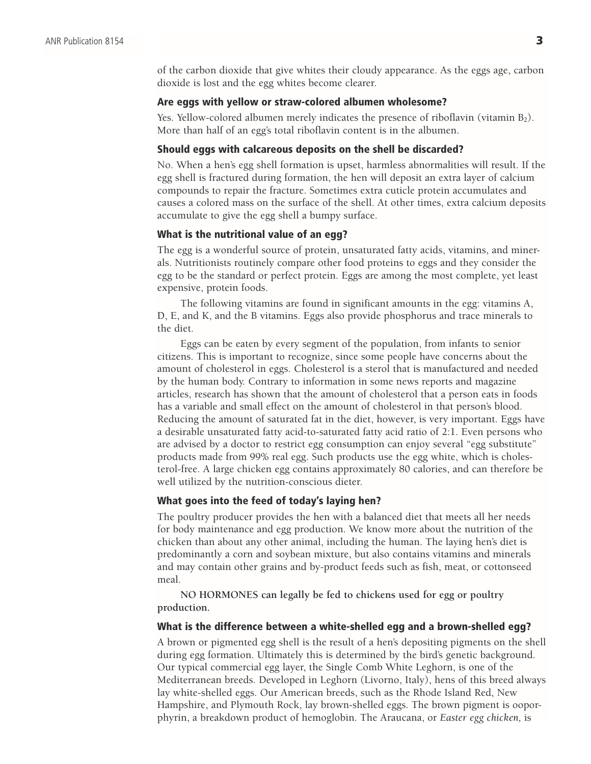of the carbon dioxide that give whites their cloudy appearance. As the eggs age, carbon dioxide is lost and the egg whites become clearer.

#### Are eggs with yellow or straw-colored albumen wholesome?

Yes. Yellow-colored albumen merely indicates the presence of riboflavin (vitamin B<sub>2</sub>). More than half of an egg's total riboflavin content is in the albumen.

#### Should eggs with calcareous deposits on the shell be discarded?

No. When a hen's egg shell formation is upset, harmless abnormalities will result. If the egg shell is fractured during formation, the hen will deposit an extra layer of calcium compounds to repair the fracture. Sometimes extra cuticle protein accumulates and causes a colored mass on the surface of the shell. At other times, extra calcium deposits accumulate to give the egg shell a bumpy surface.

#### What is the nutritional value of an egg?

The egg is a wonderful source of protein, unsaturated fatty acids, vitamins, and minerals. Nutritionists routinely compare other food proteins to eggs and they consider the egg to be the standard or perfect protein. Eggs are among the most complete, yet least expensive, protein foods.

The following vitamins are found in significant amounts in the egg: vitamins A, D, E, and K, and the B vitamins. Eggs also provide phosphorus and trace minerals to the diet.

Eggs can be eaten by every segment of the population, from infants to senior citizens. This is important to recognize, since some people have concerns about the amount of cholesterol in eggs. Cholesterol is a sterol that is manufactured and needed by the human body. Contrary to information in some news reports and magazine articles, research has shown that the amount of cholesterol that a person eats in foods has a variable and small effect on the amount of cholesterol in that person's blood. Reducing the amount of saturated fat in the diet, however, is very important. Eggs have a desirable unsaturated fatty acid-to-saturated fatty acid ratio of 2:1. Even persons who are advised by a doctor to restrict egg consumption can enjoy several "egg substitute" products made from 99% real egg. Such products use the egg white, which is cholesterol-free. A large chicken egg contains approximately 80 calories, and can therefore be well utilized by the nutrition-conscious dieter.

#### What goes into the feed of today's laying hen?

The poultry producer provides the hen with a balanced diet that meets all her needs for body maintenance and egg production. We know more about the nutrition of the chicken than about any other animal, including the human. The laying hen's diet is predominantly a corn and soybean mixture, but also contains vitamins and minerals and may contain other grains and by-product feeds such as fish, meat, or cottonseed meal.

**NO HORMONES can legally be fed to chickens used for egg or poultry production.** 

#### What is the difference between a white-shelled egg and a brown-shelled egg?

A brown or pigmented egg shell is the result of a hen's depositing pigments on the shell during egg formation. Ultimately this is determined by the bird's genetic background. Our typical commercial egg layer, the Single Comb White Leghorn, is one of the Mediterranean breeds. Developed in Leghorn (Livorno, Italy), hens of this breed always lay white-shelled eggs. Our American breeds, such as the Rhode Island Red, New Hampshire, and Plymouth Rock, lay brown-shelled eggs. The brown pigment is ooporphyrin, a breakdown product of hemoglobin. The Araucana, or *Easter egg chicken,* is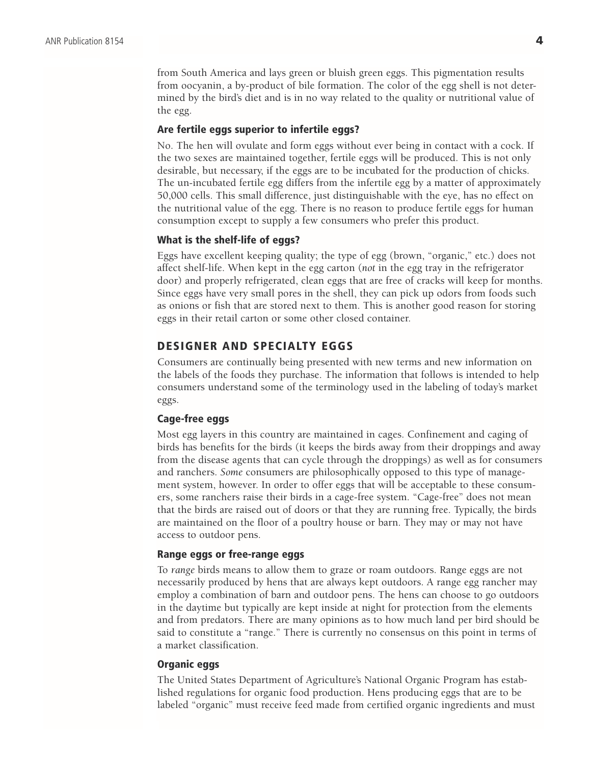from South America and lays green or bluish green eggs. This pigmentation results from oocyanin, a by-product of bile formation. The color of the egg shell is not determined by the bird's diet and is in no way related to the quality or nutritional value of the egg.

#### Are fertile eggs superior to infertile eggs?

No. The hen will ovulate and form eggs without ever being in contact with a cock. If the two sexes are maintained together, fertile eggs will be produced. This is not only desirable, but necessary, if the eggs are to be incubated for the production of chicks. The un-incubated fertile egg differs from the infertile egg by a matter of approximately 50,000 cells. This small difference, just distinguishable with the eye, has no effect on the nutritional value of the egg. There is no reason to produce fertile eggs for human consumption except to supply a few consumers who prefer this product.

#### What is the shelf-life of eggs?

Eggs have excellent keeping quality; the type of egg (brown, "organic," etc.) does not affect shelf-life. When kept in the egg carton (*not* in the egg tray in the refrigerator door) and properly refrigerated, clean eggs that are free of cracks will keep for months. Since eggs have very small pores in the shell, they can pick up odors from foods such as onions or fish that are stored next to them. This is another good reason for storing eggs in their retail carton or some other closed container.

# DESIGNER AND SPECIALTY EGGS

Consumers are continually being presented with new terms and new information on the labels of the foods they purchase. The information that follows is intended to help consumers understand some of the terminology used in the labeling of today's market eggs.

#### Cage-free eggs

Most egg layers in this country are maintained in cages. Confinement and caging of birds has benefits for the birds (it keeps the birds away from their droppings and away from the disease agents that can cycle through the droppings) as well as for consumers and ranchers. *Some* consumers are philosophically opposed to this type of management system, however. In order to offer eggs that will be acceptable to these consumers, some ranchers raise their birds in a cage-free system. "Cage-free" does not mean that the birds are raised out of doors or that they are running free. Typically, the birds are maintained on the floor of a poultry house or barn. They may or may not have access to outdoor pens.

#### Range eggs or free-range eggs

To *range* birds means to allow them to graze or roam outdoors. Range eggs are not necessarily produced by hens that are always kept outdoors. A range egg rancher may employ a combination of barn and outdoor pens. The hens can choose to go outdoors in the daytime but typically are kept inside at night for protection from the elements and from predators. There are many opinions as to how much land per bird should be said to constitute a "range." There is currently no consensus on this point in terms of a market classification.

#### Organic eggs

The United States Department of Agriculture's National Organic Program has established regulations for organic food production. Hens producing eggs that are to be labeled "organic" must receive feed made from certified organic ingredients and must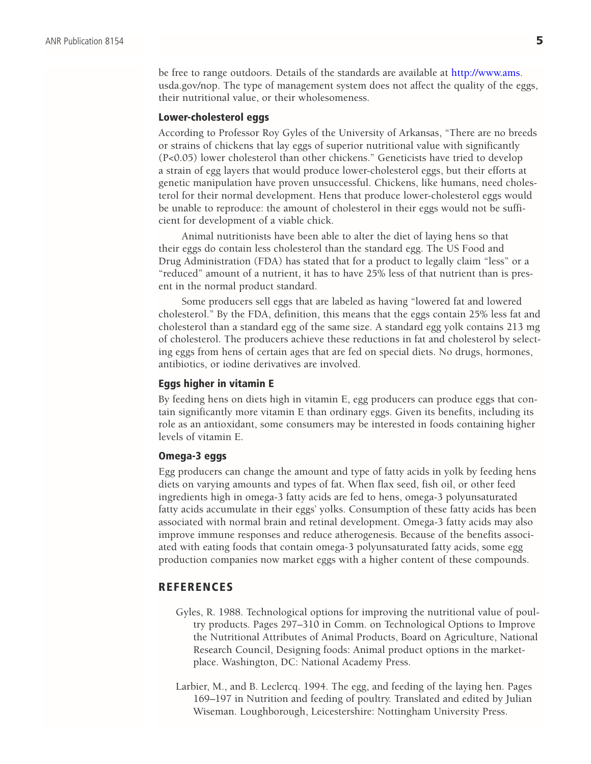be free to range outdoors. Details of the standards are available at [http://www.ams.](http://www.ams) usda.gov/nop. The type of management system does not affect the quality of the eggs, their nutritional value, or their wholesomeness.

#### Lower-cholesterol eggs

According to Professor Roy Gyles of the University of Arkansas, "There are no breeds or strains of chickens that lay eggs of superior nutritional value with significantly (P<0.05) lower cholesterol than other chickens." Geneticists have tried to develop a strain of egg layers that would produce lower-cholesterol eggs, but their efforts at genetic manipulation have proven unsuccessful. Chickens, like humans, need cholesterol for their normal development. Hens that produce lower-cholesterol eggs would be unable to reproduce: the amount of cholesterol in their eggs would not be sufficient for development of a viable chick.

Animal nutritionists have been able to alter the diet of laying hens so that their eggs do contain less cholesterol than the standard egg. The US Food and Drug Administration (FDA) has stated that for a product to legally claim "less" or a "reduced" amount of a nutrient, it has to have 25% less of that nutrient than is present in the normal product standard.

Some producers sell eggs that are labeled as having "lowered fat and lowered cholesterol." By the FDA, definition, this means that the eggs contain 25% less fat and cholesterol than a standard egg of the same size. A standard egg yolk contains 213 mg of cholesterol. The producers achieve these reductions in fat and cholesterol by selecting eggs from hens of certain ages that are fed on special diets. No drugs, hormones, antibiotics, or iodine derivatives are involved.

#### Eggs higher in vitamin E

By feeding hens on diets high in vitamin E, egg producers can produce eggs that contain significantly more vitamin E than ordinary eggs. Given its benefits, including its role as an antioxidant, some consumers may be interested in foods containing higher levels of vitamin E.

#### Omega-3 eggs

Egg producers can change the amount and type of fatty acids in yolk by feeding hens diets on varying amounts and types of fat. When flax seed, fish oil, or other feed ingredients high in omega-3 fatty acids are fed to hens, omega-3 polyunsaturated fatty acids accumulate in their eggs' yolks. Consumption of these fatty acids has been associated with normal brain and retinal development. Omega-3 fatty acids may also improve immune responses and reduce atherogenesis. Because of the benefits associated with eating foods that contain omega-3 polyunsaturated fatty acids, some egg production companies now market eggs with a higher content of these compounds.

#### **REFERENCES**

- Gyles, R. 1988. Technological options for improving the nutritional value of poultry products. Pages 297–310 in Comm. on Technological Options to Improve the Nutritional Attributes of Animal Products, Board on Agriculture, National Research Council, Designing foods: Animal product options in the marketplace. Washington, DC: National Academy Press.
- Larbier, M., and B. Leclercq. 1994. The egg, and feeding of the laying hen. Pages 169–197 in Nutrition and feeding of poultry. Translated and edited by Julian Wiseman. Loughborough, Leicestershire: Nottingham University Press.